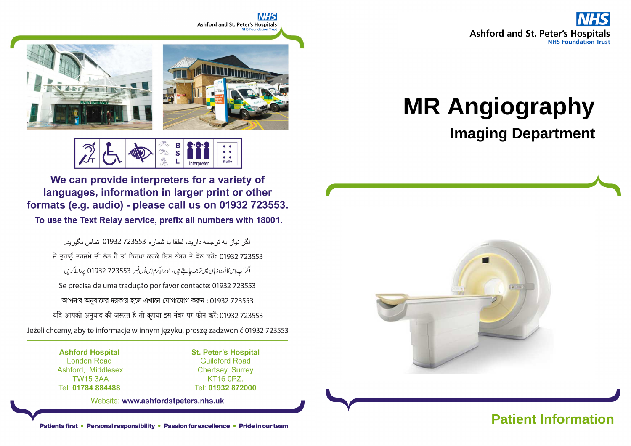



В  $\overline{\mathbf{s}}$ **Braille** 

We can provide interpreters for a variety of languages, information in larger print or other formats (e.g. audio) - please call us on 01932 723553.

To use the Text Relay service, prefix all numbers with 18001.

اگر نباز به تر جمه دار بد، لطفا با شمار ه 723553 01932 تماس بگیر بد. ਜੇ ਤੁਹਾਨੂੰ ਤਰਜਮੇ ਦੀ ਲੋੜ ਹੈ ਤਾਂ ਕਿਰਪਾ ਕਰਕੇ ਇਸ ਨੰਬਰ ਤੇ ਫੋਨ ਕਰੋ: 01932 723553 اگرآپ اِسكا أردوز بان ميں تر جمہ جاجتے ہيں، تو براہ كرم اِس فون نمبر 723553 01932 پر ابط كريں Se precisa de uma tradução por favor contacte: 01932 723553 আপনার অনুবাদের দরকার হলে এখানে যোগাযোগ করুন: 01932 723553 यदि आपको अनुवाद की ज़रूरत है तो कृपया इस नंबर पर फोन करें: 01932 723553 Jeżeli chcemy, aby te informacje w innym języku, proszę zadzwonić 01932 723553

> **Ashford Hospital London Road** Ashford, Middlesex **TW15 3AA** Tel: 01784 884488

**St. Peter's Hospital Guildford Road Chertsey, Surrey** KT16 0PZ. Tel: 01932 872000

Website: www.ashfordstpeters.nhs.uk

# **MR Angiography**

# **Imaging Department**



Patients first • Personal responsibility • Passion for excellence • Pride in our team **Patient Information**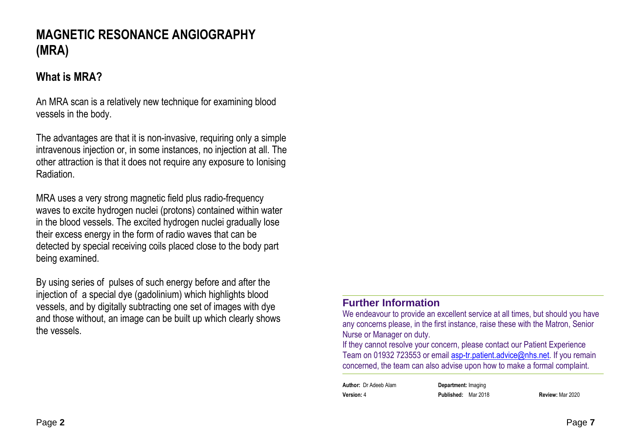## **MAGNETIC RESONANCE ANGIOGRAPHY (MRA)**

#### **What is MRA?**

An MRA scan is a relatively new technique for examining blood vessels in the body.

The advantages are that it is non-invasive, requiring only a simple intravenous injection or, in some instances, no injection at all. The other attraction is that it does not require any exposure to Ionising **Radiation** 

MRA uses a very strong magnetic field plus radio-frequency waves to excite hydrogen nuclei (protons) contained within water in the blood vessels. The excited hydrogen nuclei gradually lose their excess energy in the form of radio waves that can be detected by special receiving coils placed close to the body part being examined.

By using series of pulses of such energy before and after the injection of a special dye (gadolinium) which highlights blood vessels, and by digitally subtracting one set of images with dye and those without, an image can be built up which clearly shows the vessels.

#### **Further Information**

 We endeavour to provide an excellent service at all times, but should you have any concerns please, in the first instance, raise these with the Matron, Senior Nurse or Manager on duty.

 If they cannot resolve your concern, please contact our Patient Experience Team on 01932 723553 or email **asp-tr.patient.advice@nhs.net**. If you remain concerned, the team can also advise upon how to make a formal complaint.

**Author:** Dr Adeeb Alam **Department:** Imaging**Version:** 4 **Published:** Mar 2018 **Review:** Mar 2020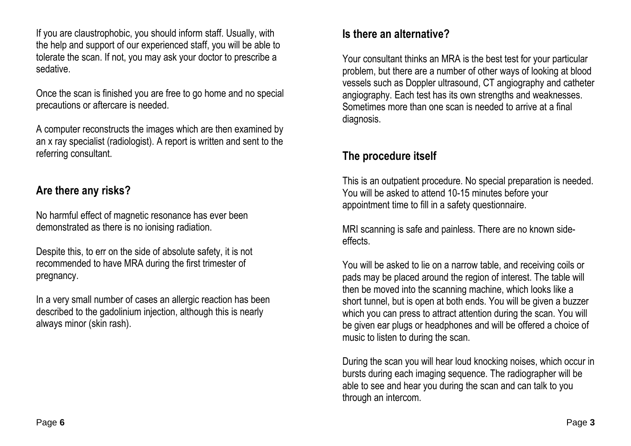If you are claustrophobic, you should inform staff. Usually, with the help and support of our experienced staff, you will be able to tolerate the scan. If not, you may ask your doctor to prescribe a sedative.

Once the scan is finished you are free to go home and no special precautions or aftercare is needed.

A computer reconstructs the images which are then examined by an x ray specialist (radiologist). A report is written and sent to the referring consultant.

#### **Are there any risks?**

No harmful effect of magnetic resonance has ever been demonstrated as there is no ionising radiation.

Despite this, to err on the side of absolute safety, it is not recommended to have MRA during the first trimester of pregnancy.

In a very small number of cases an allergic reaction has been described to the gadolinium injection, although this is nearly always minor (skin rash).

#### **Is there an alternative?**

Your consultant thinks an MRA is the best test for your particular problem, but there are a number of other ways of looking at blood vessels such as Doppler ultrasound, CT angiography and catheter angiography. Each test has its own strengths and weaknesses. Sometimes more than one scan is needed to arrive at a final diagnosis.

#### **The procedure itself**

This is an outpatient procedure. No special preparation is needed. You will be asked to attend 10-15 minutes before your appointment time to fill in a safety questionnaire.

MRI scanning is safe and painless. There are no known sideeffects.

You will be asked to lie on a narrow table, and receiving coils or pads may be placed around the region of interest. The table will then be moved into the scanning machine, which looks like a short tunnel, but is open at both ends. You will be given a buzzer which you can press to attract attention during the scan. You will be given ear plugs or headphones and will be offered a choice of music to listen to during the scan.

During the scan you will hear loud knocking noises, which occur in bursts during each imaging sequence. The radiographer will be able to see and hear you during the scan and can talk to you through an intercom.